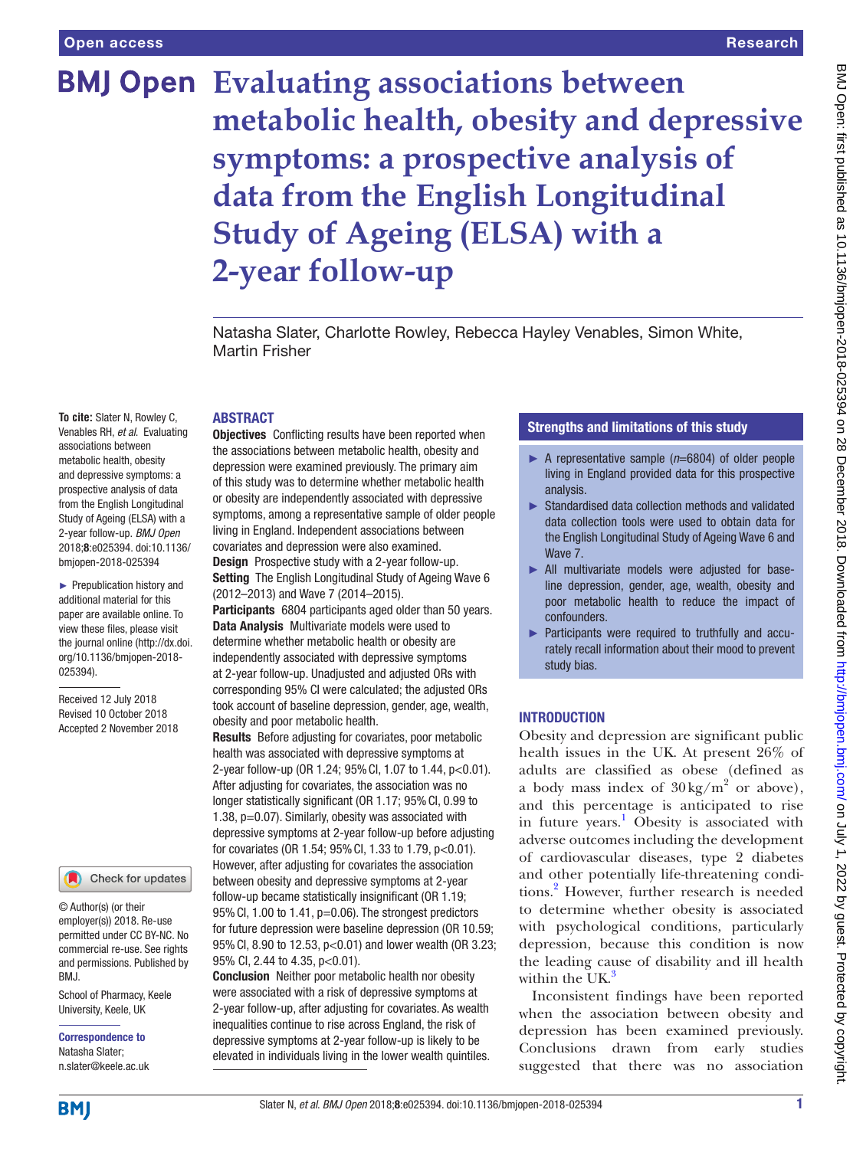# **BMJ Open Evaluating associations between metabolic health, obesity and depressive symptoms: a prospective analysis of data from the English Longitudinal Study of Ageing (ELSA) with a 2‑year follow‑up**

Natasha Slater, Charlotte Rowley, Rebecca Hayley Venables, Simon White, Martin Frisher

# **ABSTRACT**

**To cite:** Slater N, Rowley C, Venables RH, *et al*. Evaluating associations between metabolic health, obesity and depressive symptoms: a prospective analysis of data from the English Longitudinal Study of Ageing (ELSA) with a 2‑year follow‑up. *BMJ Open* 2018;8:e025394. doi:10.1136/ bmjopen-2018-025394

► Prepublication history and additional material for this paper are available online. To view these files, please visit the journal online [\(http://dx.doi.](http://dx.doi.org/10.1136/bmjopen-2018-025394) [org/10.1136/bmjopen-2018-](http://dx.doi.org/10.1136/bmjopen-2018-025394) [025394\)](http://dx.doi.org/10.1136/bmjopen-2018-025394).

Received 12 July 2018 Revised 10 October 2018 Accepted 2 November 2018



© Author(s) (or their employer(s)) 2018. Re-use permitted under CC BY-NC. No commercial re-use. See rights and permissions. Published by BMJ.

School of Pharmacy, Keele University, Keele, UK

Correspondence to Natasha Slater; n.slater@keele.ac.uk **Objectives** Conflicting results have been reported when the associations between metabolic health, obesity and depression were examined previously. The primary aim of this study was to determine whether metabolic health or obesity are independently associated with depressive symptoms, among a representative sample of older people living in England. Independent associations between covariates and depression were also examined.

Design Prospective study with a 2-year follow-up. Setting The English Longitudinal Study of Ageing Wave 6 (2012–2013) and Wave 7 (2014–2015).

Participants 6804 participants aged older than 50 years. Data Analysis Multivariate models were used to determine whether metabolic health or obesity are independently associated with depressive symptoms at 2-year follow-up. Unadjusted and adjusted ORs with corresponding 95% CI were calculated; the adjusted ORs took account of baseline depression, gender, age, wealth, obesity and poor metabolic health.

Results Before adjusting for covariates, poor metabolic health was associated with depressive symptoms at 2-year follow-up (OR 1.24; 95%CI, 1.07 to 1.44, p<0.01). After adjusting for covariates, the association was no longer statistically significant (OR 1.17; 95%CI, 0.99 to 1.38, p=0.07). Similarly, obesity was associated with depressive symptoms at 2-year follow-up before adjusting for covariates (OR 1.54; 95%CI, 1.33 to 1.79, p<0.01). However, after adjusting for covariates the association between obesity and depressive symptoms at 2-year follow-up became statistically insignificant (OR 1.19; 95% CI, 1.00 to 1.41, p=0.06). The strongest predictors for future depression were baseline depression (OR 10.59; 95%CI, 8.90 to 12.53, p<0.01) and lower wealth (OR 3.23; 95% CI, 2.44 to 4.35, p<0.01).

Conclusion Neither poor metabolic health nor obesity were associated with a risk of depressive symptoms at 2-year follow-up, after adjusting for covariates. As wealth inequalities continue to rise across England, the risk of depressive symptoms at 2-year follow-up is likely to be elevated in individuals living in the lower wealth quintiles.

# Strengths and limitations of this study

- ► A representative sample (*n*=6804) of older people living in England provided data for this prospective analysis.
- ► Standardised data collection methods and validated data collection tools were used to obtain data for the English Longitudinal Study of Ageing Wave 6 and Wave 7.
- ▶ All multivariate models were adjusted for baseline depression, gender, age, wealth, obesity and poor metabolic health to reduce the impact of confounders.
- ▶ Participants were required to truthfully and accurately recall information about their mood to prevent study bias.

# **INTRODUCTION**

Obesity and depression are significant public health issues in the UK. At present 26% of adults are classified as obese (defined as a body mass index of  $30 \text{ kg/m}^2$  or above), and this percentage is anticipated to rise in future years.<sup>[1](#page-5-0)</sup> Obesity is associated with adverse outcomes including the development of cardiovascular diseases, type 2 diabetes and other potentially life-threatening conditions[.2](#page-5-1) However, further research is needed to determine whether obesity is associated with psychological conditions, particularly depression, because this condition is now the leading cause of disability and ill health within the UK $<sup>3</sup>$  $<sup>3</sup>$  $<sup>3</sup>$ </sup>

Inconsistent findings have been reported when the association between obesity and depression has been examined previously. Conclusions drawn from early studies suggested that there was no association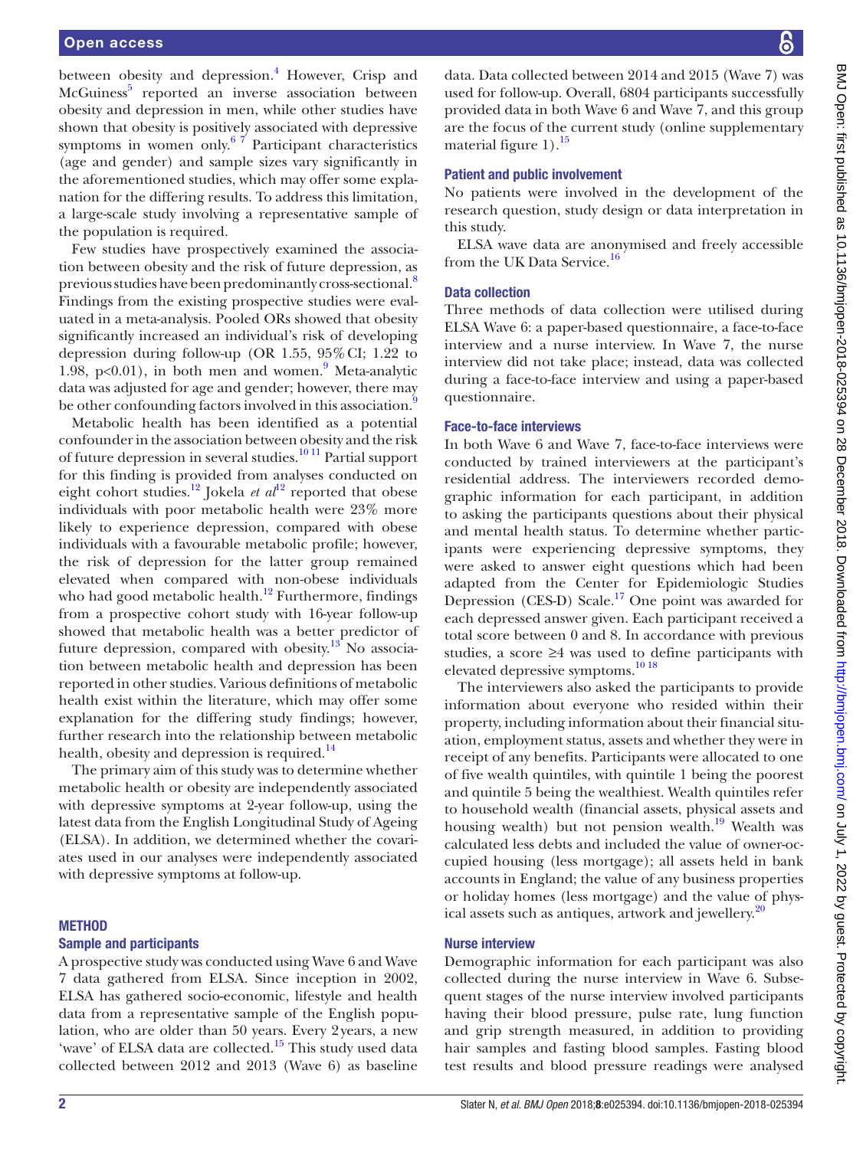between obesity and depression.<sup>4</sup> However, Crisp and McGuiness<sup>[5](#page-6-1)</sup> reported an inverse association between obesity and depression in men, while other studies have shown that obesity is positively associated with depressive symptoms in women only. $67$  Participant characteristics (age and gender) and sample sizes vary significantly in the aforementioned studies, which may offer some explanation for the differing results. To address this limitation, a large-scale study involving a representative sample of the population is required.

Few studies have prospectively examined the association between obesity and the risk of future depression, as previous studies have been predominantly cross-sectional.[8](#page-6-3) Findings from the existing prospective studies were evaluated in a meta-analysis. Pooled ORs showed that obesity significantly increased an individual's risk of developing depression during follow-up (OR 1.55, 95%CI; 1.22 to 1[.9](#page-6-4)8,  $p<0.01$ ), in both men and women.<sup>9</sup> Meta-analytic data was adjusted for age and gender; however, there may be other confounding factors involved in this association.<sup>[9](#page-6-4)</sup>

Metabolic health has been identified as a potential confounder in the association between obesity and the risk of future depression in several studies.<sup>10 11</sup> Partial support for this finding is provided from analyses conducted on eight cohort studies.<sup>12</sup> Jokela *et al*<sup>12</sup> reported that obese individuals with poor metabolic health were 23% more likely to experience depression, compared with obese individuals with a favourable metabolic profile; however, the risk of depression for the latter group remained elevated when compared with non-obese individuals who had good metabolic health.<sup>12</sup> Furthermore, findings from a prospective cohort study with 16-year follow-up showed that metabolic health was a better predictor of future depression, compared with obesity.<sup>13</sup> No association between metabolic health and depression has been reported in other studies. Various definitions of metabolic health exist within the literature, which may offer some explanation for the differing study findings; however, further research into the relationship between metabolic health, obesity and depression is required.<sup>[14](#page-6-8)</sup>

The primary aim of this study was to determine whether metabolic health or obesity are independently associated with depressive symptoms at 2-year follow-up, using the latest data from the English Longitudinal Study of Ageing (ELSA). In addition, we determined whether the covariates used in our analyses were independently associated with depressive symptoms at follow-up.

# **METHOD**

# Sample and participants

A prospective study was conducted using Wave 6 and Wave 7 data gathered from ELSA. Since inception in 2002, ELSA has gathered socio-economic, lifestyle and health data from a representative sample of the English population, who are older than 50 years. Every 2years, a new 'wave' of ELSA data are collected.<sup>15</sup> This study used data collected between 2012 and 2013 (Wave 6) as baseline

data. Data collected between 2014 and 2015 (Wave 7) was used for follow-up. Overall, 6804 participants successfully provided data in both Wave 6 and Wave 7, and this group are the focus of the current study (online [supplementary](https://dx.doi.org/10.1136/bmjopen-2018-025394)  [material figure 1](https://dx.doi.org/10.1136/bmjopen-2018-025394)).<sup>15</sup>

#### Patient and public involvement

No patients were involved in the development of the research question, study design or data interpretation in this study.

ELSA wave data are anonymised and freely accessible from the UK Data Service.<sup>16</sup>

# Data collection

Three methods of data collection were utilised during ELSA Wave 6: a paper-based questionnaire, a face-to-face interview and a nurse interview. In Wave 7, the nurse interview did not take place; instead, data was collected during a face-to-face interview and using a paper-based questionnaire.

#### Face-to-face interviews

In both Wave 6 and Wave 7, face-to-face interviews were conducted by trained interviewers at the participant's residential address. The interviewers recorded demographic information for each participant, in addition to asking the participants questions about their physical and mental health status. To determine whether participants were experiencing depressive symptoms, they were asked to answer eight questions which had been adapted from the Center for Epidemiologic Studies Depression (CES-D) Scale.<sup>[17](#page-6-11)</sup> One point was awarded for each depressed answer given. Each participant received a total score between 0 and 8. In accordance with previous studies, a score ≥4 was used to define participants with elevated depressive symptoms.[10 18](#page-6-5)

The interviewers also asked the participants to provide information about everyone who resided within their property, including information about their financial situation, employment status, assets and whether they were in receipt of any benefits. Participants were allocated to one of five wealth quintiles, with quintile 1 being the poorest and quintile 5 being the wealthiest. Wealth quintiles refer to household wealth (financial assets, physical assets and housing wealth) but not pension wealth. $19$  Wealth was calculated less debts and included the value of owner-occupied housing (less mortgage); all assets held in bank accounts in England; the value of any business properties or holiday homes (less mortgage) and the value of phys-ical assets such as antiques, artwork and jewellery.<sup>[20](#page-6-13)</sup>

# Nurse interview

Demographic information for each participant was also collected during the nurse interview in Wave 6. Subsequent stages of the nurse interview involved participants having their blood pressure, pulse rate, lung function and grip strength measured, in addition to providing hair samples and fasting blood samples. Fasting blood test results and blood pressure readings were analysed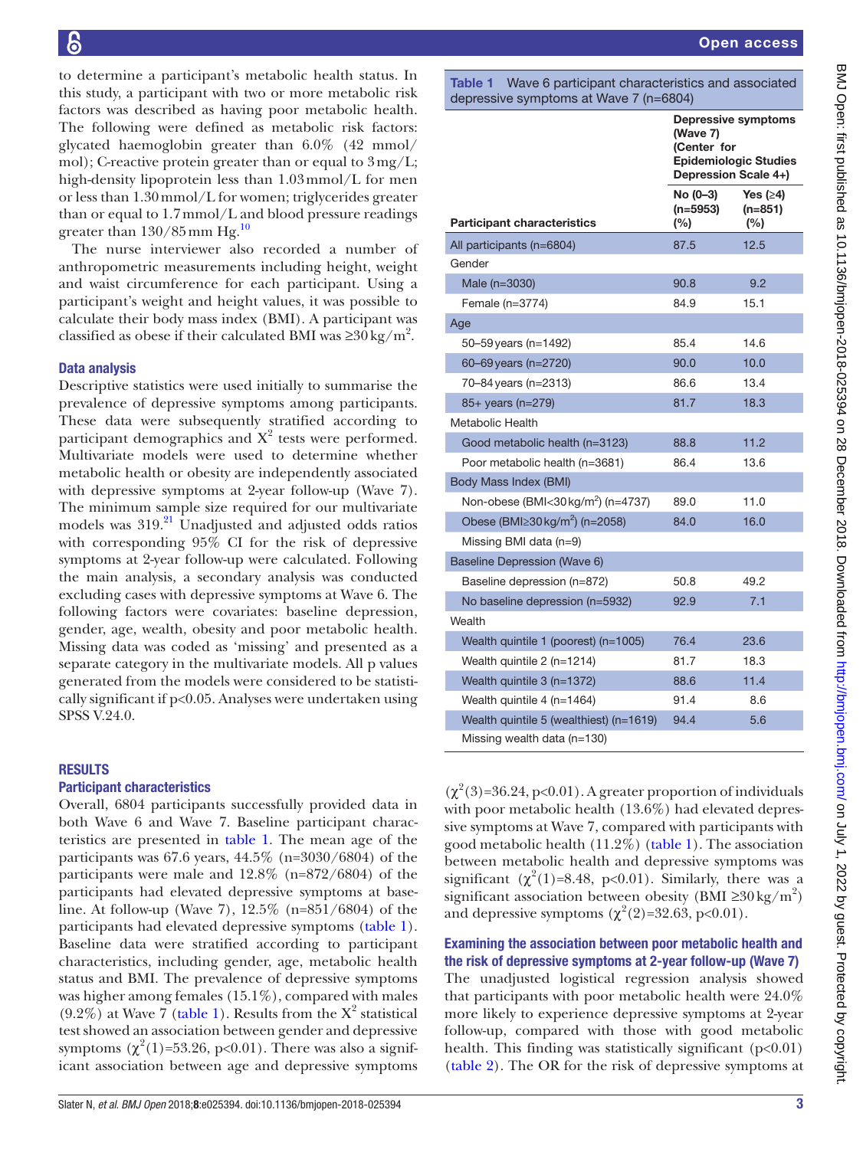to determine a participant's metabolic health status. In this study, a participant with two or more metabolic risk factors was described as having poor metabolic health. The following were defined as metabolic risk factors: glycated haemoglobin greater than 6.0% (42 mmol/ mol); C-reactive protein greater than or equal to  $3 \text{ mg/L}$ ; high-density lipoprotein less than 1.03mmol/L for men or less than 1.30mmol/L for women; triglycerides greater than or equal to  $1.7$  mmol/L and blood pressure readings greater than  $130/85$  mm Hg.<sup>[10](#page-6-5)</sup>

The nurse interviewer also recorded a number of anthropometric measurements including height, weight and waist circumference for each participant. Using a participant's weight and height values, it was possible to calculate their body mass index (BMI). A participant was classified as obese if their calculated BMI was  $\geq 30 \text{ kg/m}^2$ .

# Data analysis

Descriptive statistics were used initially to summarise the prevalence of depressive symptoms among participants. These data were subsequently stratified according to participant demographics and  $X^2$  tests were performed. Multivariate models were used to determine whether metabolic health or obesity are independently associated with depressive symptoms at 2-year follow-up (Wave 7). The minimum sample size required for our multivariate models was 319.<sup>21</sup> Unadjusted and adjusted odds ratios with corresponding 95% CI for the risk of depressive symptoms at 2-year follow-up were calculated. Following the main analysis, a secondary analysis was conducted excluding cases with depressive symptoms at Wave 6. The following factors were covariates: baseline depression, gender, age, wealth, obesity and poor metabolic health. Missing data was coded as 'missing' and presented as a separate category in the multivariate models. All p values generated from the models were considered to be statistically significant if p<0.05. Analyses were undertaken using SPSS V.24.0.

# **RESULTS**

# Participant characteristics

Overall, 6804 participants successfully provided data in both Wave 6 and Wave 7. Baseline participant characteristics are presented in [table](#page-2-0) 1. The mean age of the participants was  $67.6$  years,  $44.5\%$  (n= $3030/6804$ ) of the participants were male and 12.8% (n=872/6804) of the participants had elevated depressive symptoms at baseline. At follow-up (Wave 7), 12.5% (n=851/6804) of the participants had elevated depressive symptoms ([table](#page-2-0) 1). Baseline data were stratified according to participant characteristics, including gender, age, metabolic health status and BMI. The prevalence of depressive symptoms was higher among females (15.1%), compared with males  $(9.2\%)$  at Wave 7 [\(table](#page-2-0) 1). Results from the X<sup>2</sup> statistical test showed an association between gender and depressive symptoms  $(\chi^2(1)=53.26, p<0.01)$ . There was also a significant association between age and depressive symptoms

<span id="page-2-0"></span>Table 1 Wave 6 participant characteristics and associated depressive symptoms at Wave 7 (n=6804)

|                                                   | <b>Depressive symptoms</b><br>(Wave 7)<br>(Center for<br><b>Epidemiologic Studies</b><br>Depression Scale 4+) |                                |  |
|---------------------------------------------------|---------------------------------------------------------------------------------------------------------------|--------------------------------|--|
| <b>Participant characteristics</b>                | No (0-3)<br>$(n=5953)$<br>(%)                                                                                 | Yes $(≥4)$<br>$(n=851)$<br>(%) |  |
| All participants (n=6804)                         | 87.5                                                                                                          | 12.5                           |  |
| Gender                                            |                                                                                                               |                                |  |
| Male (n=3030)                                     | 90.8                                                                                                          | 9.2                            |  |
| Female (n=3774)                                   | 84.9                                                                                                          | 15.1                           |  |
| Age                                               |                                                                                                               |                                |  |
| 50-59 years (n=1492)                              | 85.4                                                                                                          | 14.6                           |  |
| 60-69 years (n=2720)                              | 90.0                                                                                                          | 10.0                           |  |
| 70-84 years (n=2313)                              | 86.6                                                                                                          | 13.4                           |  |
| 85+ years (n=279)                                 | 81.7                                                                                                          | 18.3                           |  |
| Metabolic Health                                  |                                                                                                               |                                |  |
| Good metabolic health (n=3123)                    | 88.8                                                                                                          | 11.2                           |  |
| Poor metabolic health (n=3681)                    | 86.4                                                                                                          | 13.6                           |  |
| Body Mass Index (BMI)                             |                                                                                                               |                                |  |
| Non-obese (BMI<30 kg/m <sup>2</sup> ) (n=4737)    | 89.0                                                                                                          | 11.0                           |  |
| Obese (BMI $\geq$ 30 kg/m <sup>2</sup> ) (n=2058) | 84.0                                                                                                          | 16.0                           |  |
| Missing BMI data (n=9)                            |                                                                                                               |                                |  |
| Baseline Depression (Wave 6)                      |                                                                                                               |                                |  |
| Baseline depression (n=872)                       | 50.8                                                                                                          | 49.2                           |  |
| No baseline depression (n=5932)                   | 92.9                                                                                                          | 7.1                            |  |
| Wealth                                            |                                                                                                               |                                |  |
| Wealth quintile 1 (poorest) (n=1005)              | 76.4                                                                                                          | 23.6                           |  |
| Wealth quintile 2 (n=1214)                        | 81.7                                                                                                          | 18.3                           |  |
| Wealth quintile 3 (n=1372)                        | 88.6                                                                                                          | 11.4                           |  |
| Wealth quintile 4 (n=1464)                        | 91.4                                                                                                          | 8.6                            |  |
| Wealth quintile 5 (wealthiest) (n=1619)           | 94.4                                                                                                          | 5.6                            |  |
| Missing wealth data (n=130)                       |                                                                                                               |                                |  |

 $(\chi^2(3)=36.24, p<0.01)$ . A greater proportion of individuals with poor metabolic health (13.6%) had elevated depressive symptoms at Wave 7, compared with participants with good metabolic health  $(11.2\%)$  [\(table](#page-2-0) 1). The association between metabolic health and depressive symptoms was significant  $(\chi^2(1)=8.48, \text{ p}<0.01)$ . Similarly, there was a significant association between obesity (BMI ≥30 kg/m<sup>2</sup>) and depressive symptoms  $(\chi^2(2)=32.63, \text{ p}<0.01)$ .

Examining the association between poor metabolic health and the risk of depressive symptoms at 2-year follow-up (Wave 7) The unadjusted logistical regression analysis showed that participants with poor metabolic health were 24.0% more likely to experience depressive symptoms at 2-year follow-up, compared with those with good metabolic health. This finding was statistically significant  $(p<0.01)$ [\(table](#page-3-0) 2). The OR for the risk of depressive symptoms at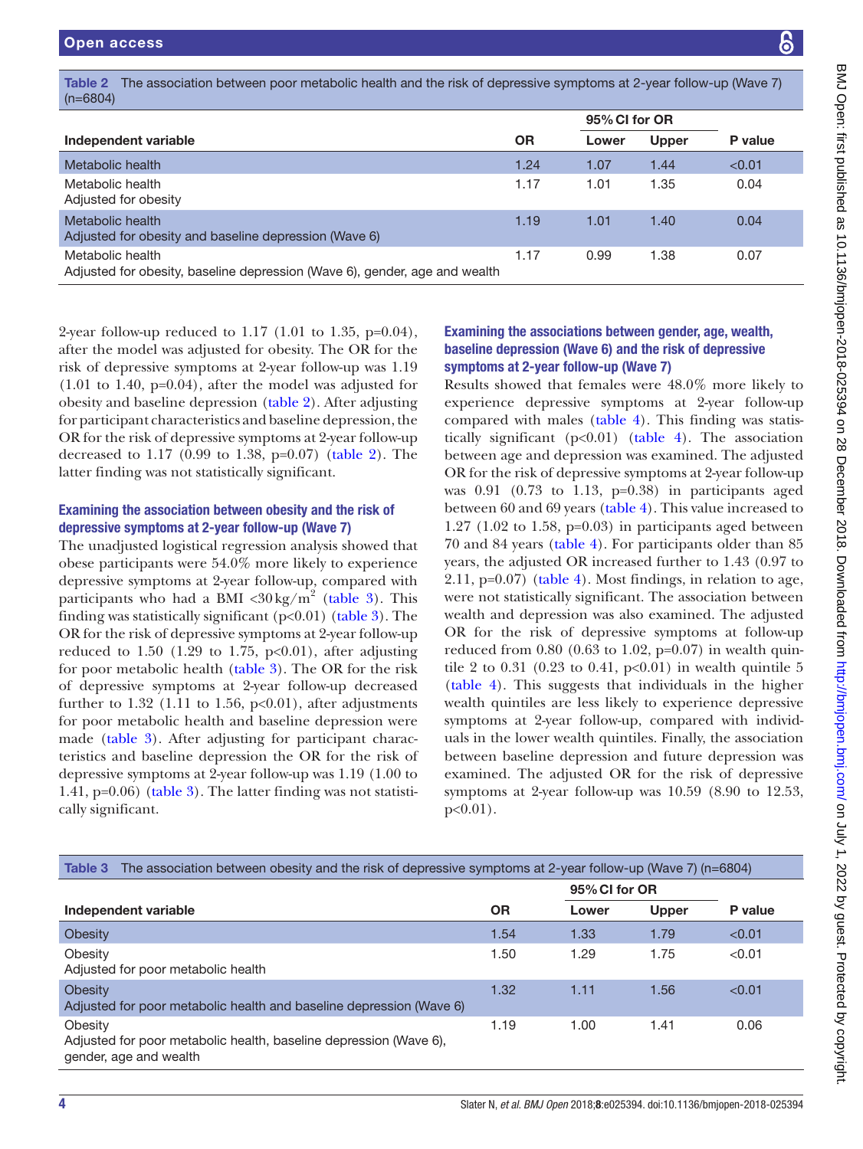Metabolic health

<span id="page-3-0"></span>

| The association between poor metabolic health and the risk of depressive symptoms at 2-year follow-up (Wave 7)<br>Table 2<br>$(n=6804)$ |      |               |              |         |  |
|-----------------------------------------------------------------------------------------------------------------------------------------|------|---------------|--------------|---------|--|
|                                                                                                                                         |      | 95% CI for OR |              |         |  |
| Independent variable                                                                                                                    | OR   | Lower         | <b>Upper</b> | P value |  |
| Metabolic health                                                                                                                        | 1.24 | 1.07          | 1.44         | < 0.01  |  |
| Metabolic health<br>Adjusted for obesity                                                                                                | 1.17 | 1.01          | 1.35         | 0.04    |  |

Metabolic health Adjusted for obesity, baseline depression (Wave 6), gender, age and wealth

2-year follow-up reduced to 1.17 (1.01 to 1.35, p=0.04), after the model was adjusted for obesity. The OR for the risk of depressive symptoms at 2-year follow-up was 1.19 (1.01 to 1.40, p=0.04), after the model was adjusted for obesity and baseline depression ([table](#page-3-0) 2). After adjusting for participant characteristics and baseline depression, the

OR for the risk of depressive symptoms at 2-year follow-up decreased to 1.17 (0.99 to 1.38, p=0.07) [\(table](#page-3-0) 2). The latter finding was not statistically significant.

Adjusted for obesity and baseline depression (Wave 6)

# Examining the association between obesity and the risk of depressive symptoms at 2-year follow-up (Wave 7)

The unadjusted logistical regression analysis showed that obese participants were 54.0% more likely to experience depressive symptoms at 2-year follow-up, compared with participants who had a BMI <30 kg/ $m^2$  ([table](#page-3-1) 3). This finding was statistically significant  $(p<0.01)$  ([table](#page-3-1) 3). The OR for the risk of depressive symptoms at 2-year follow-up reduced to  $1.50$  (1.29 to 1.75, p<0.01), after adjusting for poor metabolic health ([table](#page-3-1) 3). The OR for the risk of depressive symptoms at 2-year follow-up decreased further to 1.32 (1.11 to 1.56,  $p<0.01$ ), after adjustments for poor metabolic health and baseline depression were made ([table](#page-3-1) 3). After adjusting for participant characteristics and baseline depression the OR for the risk of depressive symptoms at 2-year follow-up was 1.19 (1.00 to 1.41, p=0.06) ([table](#page-3-1) 3). The latter finding was not statistically significant.

# Examining the associations between gender, age, wealth, baseline depression (Wave 6) and the risk of depressive symptoms at 2-year follow-up (Wave 7)

1.19 1.01 1.40 0.04

1.17 0.99 1.38 0.07

Results showed that females were 48.0% more likely to experience depressive symptoms at 2-year follow-up compared with males [\(table](#page-4-0) 4). This finding was statistically significant  $(p<0.01)$  ([table](#page-4-0) 4). The association between age and depression was examined. The adjusted OR for the risk of depressive symptoms at 2-year follow-up was  $0.91$   $(0.73$  to  $1.13$ ,  $p=0.38$ ) in participants aged between 60 and 69 years ([table](#page-4-0) 4). This value increased to  $1.27$   $(1.02 \text{ to } 1.58, \text{ p=0.03})$  in participants aged between 70 and 84 years ([table](#page-4-0) 4). For participants older than 85 years, the adjusted OR increased further to 1.43 (0.97 to 2.11, p=0.07) ([table](#page-4-0) 4). Most findings, in relation to age, were not statistically significant. The association between wealth and depression was also examined. The adjusted OR for the risk of depressive symptoms at follow-up reduced from  $0.80$  ( $0.63$  to  $1.02$ ,  $p=0.07$ ) in wealth quintile 2 to 0.31 (0.23 to 0.41,  $p<0.01$ ) in wealth quintile 5 [\(table](#page-4-0) 4). This suggests that individuals in the higher wealth quintiles are less likely to experience depressive symptoms at 2-year follow-up, compared with individuals in the lower wealth quintiles. Finally, the association between baseline depression and future depression was examined. The adjusted OR for the risk of depressive symptoms at 2-year follow-up was 10.59 (8.90 to 12.53,  $p < 0.01$ ).

<span id="page-3-1"></span>

| The association between obesity and the risk of depressive symptoms at 2-year follow-up (Wave 7) (n=6804)<br>Table 3 |           |               |              |         |
|----------------------------------------------------------------------------------------------------------------------|-----------|---------------|--------------|---------|
|                                                                                                                      |           | 95% CI for OR |              |         |
| Independent variable                                                                                                 | <b>OR</b> | Lower         | <b>Upper</b> | P value |
| Obesity                                                                                                              | 1.54      | 1.33          | 1.79         | < 0.01  |
| Obesity<br>Adjusted for poor metabolic health                                                                        | 1.50      | 1.29          | 1.75         | < 0.01  |
| <b>Obesity</b><br>Adjusted for poor metabolic health and baseline depression (Wave 6)                                | 1.32      | 1.11          | 1.56         | < 0.01  |
| Obesity<br>Adjusted for poor metabolic health, baseline depression (Wave 6),<br>gender, age and wealth               | 1.19      | 1.00          | 1.41         | 0.06    |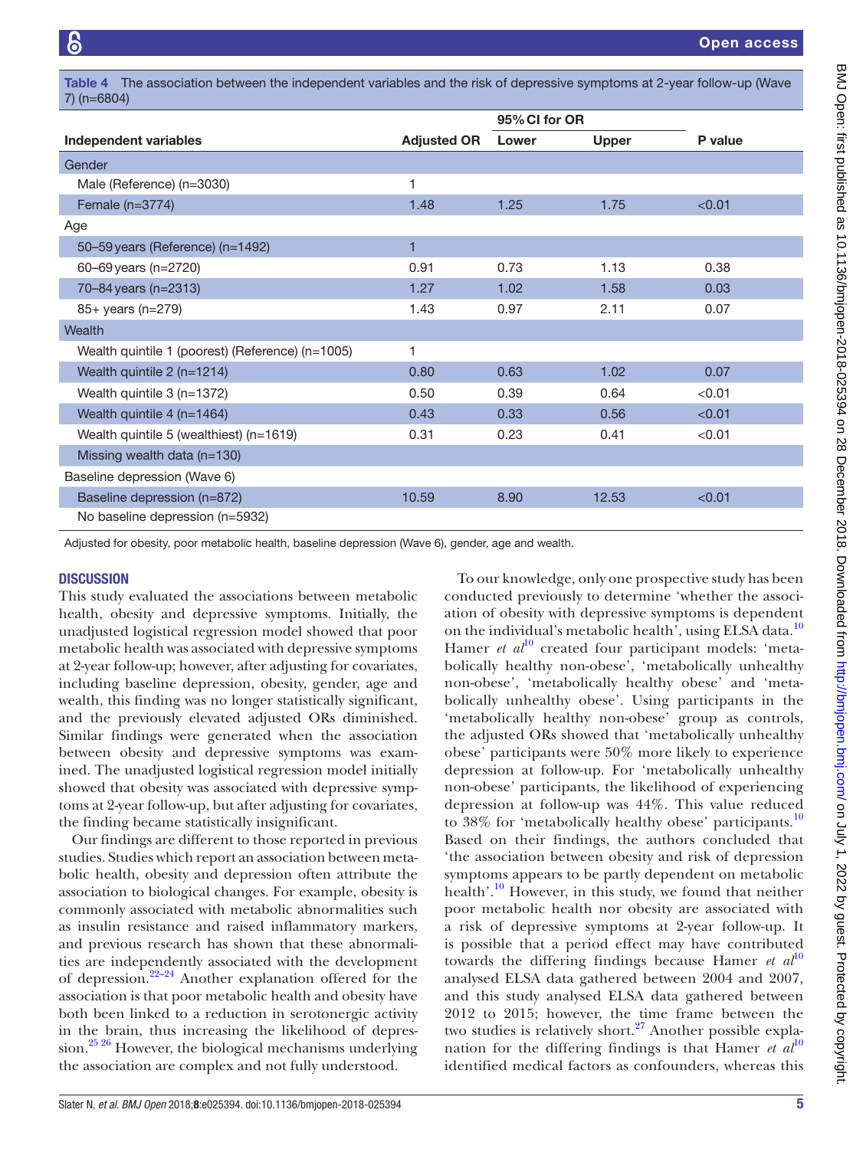<span id="page-4-0"></span>Table 4 The association between the independent variables and the risk of depressive symptoms at 2-year follow-up (Wave 7) (n=6804)

|                                                  |                    | 95% CI for OR |              |         |
|--------------------------------------------------|--------------------|---------------|--------------|---------|
| <b>Independent variables</b>                     | <b>Adjusted OR</b> | Lower         | <b>Upper</b> | P value |
| Gender                                           |                    |               |              |         |
| Male (Reference) (n=3030)                        | 1                  |               |              |         |
| Female (n=3774)                                  | 1.48               | 1.25          | 1.75         | < 0.01  |
| Age                                              |                    |               |              |         |
| 50-59 years (Reference) (n=1492)                 | $\mathbf{1}$       |               |              |         |
| 60-69 years (n=2720)                             | 0.91               | 0.73          | 1.13         | 0.38    |
| 70-84 years (n=2313)                             | 1.27               | 1.02          | 1.58         | 0.03    |
| 85+ years (n=279)                                | 1.43               | 0.97          | 2.11         | 0.07    |
| Wealth                                           |                    |               |              |         |
| Wealth quintile 1 (poorest) (Reference) (n=1005) | 1                  |               |              |         |
| Wealth quintile 2 (n=1214)                       | 0.80               | 0.63          | 1.02         | 0.07    |
| Wealth quintile 3 (n=1372)                       | 0.50               | 0.39          | 0.64         | < 0.01  |
| Wealth quintile 4 (n=1464)                       | 0.43               | 0.33          | 0.56         | < 0.01  |
| Wealth quintile 5 (wealthiest) (n=1619)          | 0.31               | 0.23          | 0.41         | < 0.01  |
| Missing wealth data $(n=130)$                    |                    |               |              |         |
| Baseline depression (Wave 6)                     |                    |               |              |         |
| Baseline depression (n=872)                      | 10.59              | 8.90          | 12.53        | < 0.01  |
| No baseline depression (n=5932)                  |                    |               |              |         |

Adjusted for obesity, poor metabolic health, baseline depression (Wave 6), gender, age and wealth.

#### **DISCUSSION**

This study evaluated the associations between metabolic health, obesity and depressive symptoms. Initially, the unadjusted logistical regression model showed that poor metabolic health was associated with depressive symptoms at 2-year follow-up; however, after adjusting for covariates, including baseline depression, obesity, gender, age and wealth, this finding was no longer statistically significant, and the previously elevated adjusted ORs diminished. Similar findings were generated when the association between obesity and depressive symptoms was examined. The unadjusted logistical regression model initially showed that obesity was associated with depressive symptoms at 2-year follow-up, but after adjusting for covariates, the finding became statistically insignificant.

Our findings are different to those reported in previous studies. Studies which report an association between metabolic health, obesity and depression often attribute the association to biological changes. For example, obesity is commonly associated with metabolic abnormalities such as insulin resistance and raised inflammatory markers, and previous research has shown that these abnormalities are independently associated with the development of depression.<sup>[22–24](#page-6-15)</sup> Another explanation offered for the association is that poor metabolic health and obesity have both been linked to a reduction in serotonergic activity in the brain, thus increasing the likelihood of depression.<sup>25 26</sup> However, the biological mechanisms underlying the association are complex and not fully understood.

To our knowledge, only one prospective study has been conducted previously to determine 'whether the association of obesity with depressive symptoms is dependent on the individual's metabolic health', using ELSA data.<sup>[10](#page-6-5)</sup> Hamer *et al*<sup>[10](#page-6-5)</sup> created four participant models: 'metabolically healthy non-obese', 'metabolically unhealthy non-obese', 'metabolically healthy obese' and 'metabolically unhealthy obese'. Using participants in the 'metabolically healthy non-obese' group as controls, the adjusted ORs showed that 'metabolically unhealthy obese' participants were 50% more likely to experience depression at follow-up. For 'metabolically unhealthy non-obese' participants, the likelihood of experiencing depression at follow-up was 44%. This value reduced to 38% for 'metabolically healthy obese' participants.<sup>[10](#page-6-5)</sup> Based on their findings, the authors concluded that 'the association between obesity and risk of depression symptoms appears to be partly dependent on metabolic health'.<sup>[10](#page-6-5)</sup> However, in this study, we found that neither poor metabolic health nor obesity are associated with a risk of depressive symptoms at 2-year follow-up. It is possible that a period effect may have contributed towards the differing findings because Hamer *et al*<sup>[10](#page-6-5)</sup> analysed ELSA data gathered between 2004 and 2007, and this study analysed ELSA data gathered between 2012 to 2015; however, the time frame between the two studies is relatively short.<sup>[27](#page-6-17)</sup> Another possible explanation for the differing findings is that Hamer *et al*<sup>[10](#page-6-5)</sup> identified medical factors as confounders, whereas this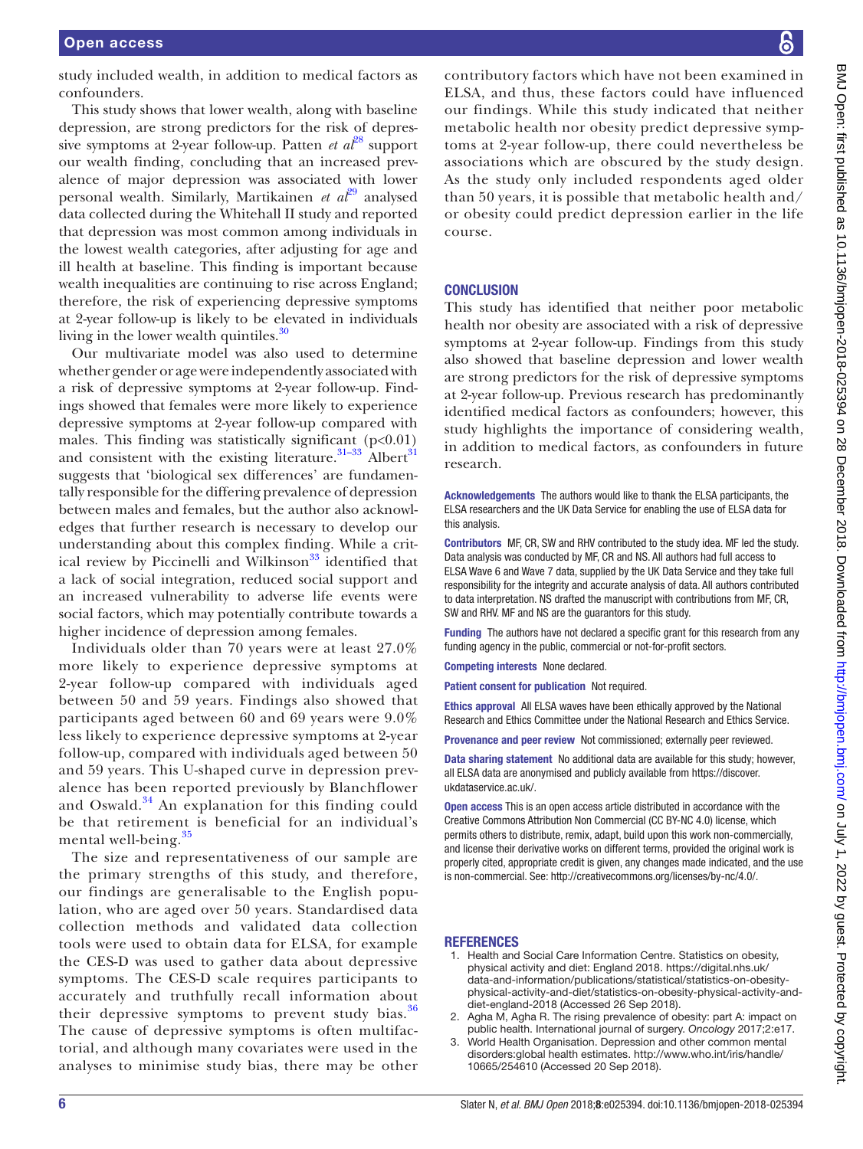study included wealth, in addition to medical factors as confounders.

This study shows that lower wealth, along with baseline depression, are strong predictors for the risk of depressive symptoms at 2-year follow-up. Patten *et al*<sup>28</sup> support our wealth finding, concluding that an increased prevalence of major depression was associated with lower personal wealth. Similarly, Martikainen *et al*<sup>29</sup> analysed data collected during the Whitehall II study and reported that depression was most common among individuals in the lowest wealth categories, after adjusting for age and ill health at baseline. This finding is important because wealth inequalities are continuing to rise across England; therefore, the risk of experiencing depressive symptoms at 2-year follow-up is likely to be elevated in individuals living in the lower wealth quintiles. $30$ 

Our multivariate model was also used to determine whether gender or age were independently associated with a risk of depressive symptoms at 2-year follow-up. Findings showed that females were more likely to experience depressive symptoms at 2-year follow-up compared with males. This finding was statistically significant  $(p<0.01)$ and consistent with the existing literature. $31-33$  Albert $31$ suggests that 'biological sex differences' are fundamentally responsible for the differing prevalence of depression between males and females, but the author also acknowledges that further research is necessary to develop our understanding about this complex finding. While a critical review by Piccinelli and Wilkinson $33$  identified that a lack of social integration, reduced social support and an increased vulnerability to adverse life events were social factors, which may potentially contribute towards a higher incidence of depression among females.

Individuals older than 70 years were at least 27.0% more likely to experience depressive symptoms at 2-year follow-up compared with individuals aged between 50 and 59 years. Findings also showed that participants aged between 60 and 69 years were 9.0% less likely to experience depressive symptoms at 2-year follow-up, compared with individuals aged between 50 and 59 years. This U-shaped curve in depression prevalence has been reported previously by Blanchflower and Oswald. $34$  An explanation for this finding could be that retirement is beneficial for an individual's mental well-being.<sup>[35](#page-6-24)</sup>

The size and representativeness of our sample are the primary strengths of this study, and therefore, our findings are generalisable to the English population, who are aged over 50 years. Standardised data collection methods and validated data collection tools were used to obtain data for ELSA, for example the CES-D was used to gather data about depressive symptoms. The CES-D scale requires participants to accurately and truthfully recall information about their depressive symptoms to prevent study bias.<sup>[36](#page-6-25)</sup> The cause of depressive symptoms is often multifactorial, and although many covariates were used in the analyses to minimise study bias, there may be other

contributory factors which have not been examined in ELSA, and thus, these factors could have influenced our findings. While this study indicated that neither metabolic health nor obesity predict depressive symptoms at 2-year follow-up, there could nevertheless be associations which are obscured by the study design. As the study only included respondents aged older than 50 years, it is possible that metabolic health and/ or obesity could predict depression earlier in the life course.

#### **CONCLUSION**

This study has identified that neither poor metabolic health nor obesity are associated with a risk of depressive symptoms at 2-year follow-up. Findings from this study also showed that baseline depression and lower wealth are strong predictors for the risk of depressive symptoms at 2-year follow-up. Previous research has predominantly identified medical factors as confounders; however, this study highlights the importance of considering wealth, in addition to medical factors, as confounders in future research.

Acknowledgements The authors would like to thank the ELSA participants, the ELSA researchers and the UK Data Service for enabling the use of ELSA data for this analysis.

Contributors MF, CR, SW and RHV contributed to the study idea. MF led the study. Data analysis was conducted by MF, CR and NS. All authors had full access to ELSA Wave 6 and Wave 7 data, supplied by the UK Data Service and they take full responsibility for the integrity and accurate analysis of data. All authors contributed to data interpretation. NS drafted the manuscript with contributions from MF, CR, SW and RHV. MF and NS are the guarantors for this study.

Funding The authors have not declared a specific grant for this research from any funding agency in the public, commercial or not-for-profit sectors.

Competing interests None declared.

Patient consent for publication Not required.

Ethics approval All ELSA waves have been ethically approved by the National Research and Ethics Committee under the National Research and Ethics Service.

Provenance and peer review Not commissioned; externally peer reviewed.

Data sharing statement No additional data are available for this study; however, all ELSA data are anonymised and publicly available from [https://discover.](https://discover.ukdataservice.ac.uk/) [ukdataservice.ac.uk/.](https://discover.ukdataservice.ac.uk/)

Open access This is an open access article distributed in accordance with the Creative Commons Attribution Non Commercial (CC BY-NC 4.0) license, which permits others to distribute, remix, adapt, build upon this work non-commercially, and license their derivative works on different terms, provided the original work is properly cited, appropriate credit is given, any changes made indicated, and the use is non-commercial. See: [http://creativecommons.org/licenses/by-nc/4.0/.](http://creativecommons.org/licenses/by-nc/4.0/)

#### **REFERENCES**

- <span id="page-5-0"></span>1. Health and Social Care Information Centre. Statistics on obesity, physical activity and diet: England 2018. [https://digital.nhs.uk/](https://digital.nhs.uk/data-and-information/publications/statistical/statistics-on-obesity-physical-activity-and-diet/statistics-on-obesity-physical-activity-and-diet-england-2018) [data-and-information/publications/statistical/statistics-on-obesity](https://digital.nhs.uk/data-and-information/publications/statistical/statistics-on-obesity-physical-activity-and-diet/statistics-on-obesity-physical-activity-and-diet-england-2018)[physical-activity-and-diet/statistics-on-obesity-physical-activity-and](https://digital.nhs.uk/data-and-information/publications/statistical/statistics-on-obesity-physical-activity-and-diet/statistics-on-obesity-physical-activity-and-diet-england-2018)[diet-england-2018](https://digital.nhs.uk/data-and-information/publications/statistical/statistics-on-obesity-physical-activity-and-diet/statistics-on-obesity-physical-activity-and-diet-england-2018) (Accessed 26 Sep 2018).
- <span id="page-5-1"></span>Agha M, Agha R. The rising prevalence of obesity: part A: impact on public health. International journal of surgery. *Oncology* 2017;2:e17.
- <span id="page-5-2"></span>3. World Health Organisation. Depression and other common mental disorders:global health estimates. [http://www.who.int/iris/handle/](http://www.who.int/iris/handle/10665/254610) [10665/254610](http://www.who.int/iris/handle/10665/254610) (Accessed 20 Sep 2018).